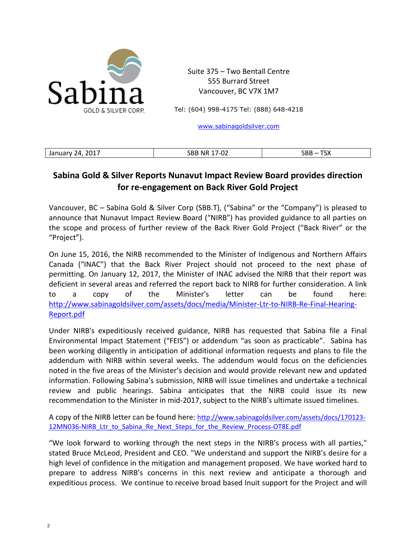

Suite 375 – Two Bentall Centre 555 Burrard Street Vancouver, BC V7X 1M7

Tel: (604) 998-4175 Tel: (888) 648-4218

[www.sabinagoldsilver.com](http://www.sabinagoldsilver.com/)

| Id.<br>$-$<br>_______ | $\sim$<br>DЕ<br>- N.K<br>◡▵<br>___ | ----<br>້ |
|-----------------------|------------------------------------|-----------|
|                       |                                    |           |

## **Sabina Gold & Silver Reports Nunavut Impact Review Board provides direction for re-engagement on Back River Gold Project**

Vancouver, BC – Sabina Gold & Silver Corp (SBB.T), ("Sabina" or the "Company") is pleased to announce that Nunavut Impact Review Board ("NIRB") has provided guidance to all parties on the scope and process of further review of the Back River Gold Project ("Back River" or the "Project").

On June 15, 2016, the NIRB recommended to the Minister of Indigenous and Northern Affairs Canada ("INAC") that the Back River Project should not proceed to the next phase of permitting. On January 12, 2017, the Minister of INAC advised the NIRB that their report was deficient in several areas and referred the report back to NIRB for further consideration. A link to a copy of the Minister's letter can be found here: [http://www.sabinagoldsilver.com/assets/docs/media/Minister-Ltr-to-NIRB-Re-Final-Hearing-](http://www.sabinagoldsilver.com/assets/docs/media/Minister-Ltr-to-NIRB-Re-Final-Hearing-Report.pdf)[Report.pdf](http://www.sabinagoldsilver.com/assets/docs/media/Minister-Ltr-to-NIRB-Re-Final-Hearing-Report.pdf)

Under NIRB's expeditiously received guidance, NIRB has requested that Sabina file a Final Environmental Impact Statement ("FEIS") or addendum "as soon as practicable". Sabina has been working diligently in anticipation of additional information requests and plans to file the addendum with NIRB within several weeks. The addendum would focus on the deficiencies noted in the five areas of the Minister's decision and would provide relevant new and updated information. Following Sabina's submission, NIRB will issue timelines and undertake a technical review and public hearings. Sabina anticipates that the NIRB could issue its new recommendation to the Minister in mid-2017, subject to the NIRB's ultimate issued timelines.

A copy of the NIRB letter can be found here: [http://www.sabinagoldsilver.com/assets/docs/170123-](http://www.sabinagoldsilver.com/assets/docs/170123-12MN036-NIRB_Ltr_to_Sabina_Re_Next_Steps_for_the_Review_Process-OT8E.pdf) [12MN036-NIRB\\_Ltr\\_to\\_Sabina\\_Re\\_Next\\_Steps\\_for\\_the\\_Review\\_Process-OT8E.pdf](http://www.sabinagoldsilver.com/assets/docs/170123-12MN036-NIRB_Ltr_to_Sabina_Re_Next_Steps_for_the_Review_Process-OT8E.pdf)

"We look forward to working through the next steps in the NIRB's process with all parties," stated Bruce McLeod, President and CEO. "We understand and support the NIRB's desire for a high level of confidence in the mitigation and management proposed. We have worked hard to prepare to address NIRB's concerns in this next review and anticipate a thorough and expeditious process. We continue to receive broad based Inuit support for the Project and will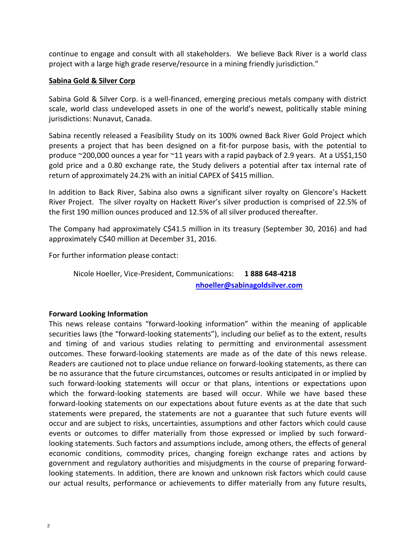continue to engage and consult with all stakeholders. We believe Back River is a world class project with a large high grade reserve/resource in a mining friendly jurisdiction."

## **Sabina Gold & Silver Corp**

Sabina Gold & Silver Corp. is a well-financed, emerging precious metals company with district scale, world class undeveloped assets in one of the world's newest, politically stable mining jurisdictions: Nunavut, Canada.

Sabina recently released a Feasibility Study on its 100% owned Back River Gold Project which presents a project that has been designed on a fit-for purpose basis, with the potential to produce ~200,000 ounces a year for ~11 years with a rapid payback of 2.9 years. At a US\$1,150 gold price and a 0.80 exchange rate, the Study delivers a potential after tax internal rate of return of approximately 24.2% with an initial CAPEX of \$415 million.

In addition to Back River, Sabina also owns a significant silver royalty on Glencore's Hackett River Project. The silver royalty on Hackett River's silver production is comprised of 22.5% of the first 190 million ounces produced and 12.5% of all silver produced thereafter.

The Company had approximately C\$41.5 million in its treasury (September 30, 2016) and had approximately C\$40 million at December 31, 2016.

For further information please contact:

Nicole Hoeller, Vice-President, Communications: **1 888 648-4218 [nhoeller@sabinagoldsilver.com](mailto:nhoeller@sabinagoldsilver.com)**

## **Forward Looking Information**

This news release contains "forward-looking information" within the meaning of applicable securities laws (the "forward-looking statements"), including our belief as to the extent, results and timing of and various studies relating to permitting and environmental assessment outcomes. These forward-looking statements are made as of the date of this news release. Readers are cautioned not to place undue reliance on forward-looking statements, as there can be no assurance that the future circumstances, outcomes or results anticipated in or implied by such forward-looking statements will occur or that plans, intentions or expectations upon which the forward-looking statements are based will occur. While we have based these forward-looking statements on our expectations about future events as at the date that such statements were prepared, the statements are not a guarantee that such future events will occur and are subject to risks, uncertainties, assumptions and other factors which could cause events or outcomes to differ materially from those expressed or implied by such forwardlooking statements. Such factors and assumptions include, among others, the effects of general economic conditions, commodity prices, changing foreign exchange rates and actions by government and regulatory authorities and misjudgments in the course of preparing forwardlooking statements. In addition, there are known and unknown risk factors which could cause our actual results, performance or achievements to differ materially from any future results,